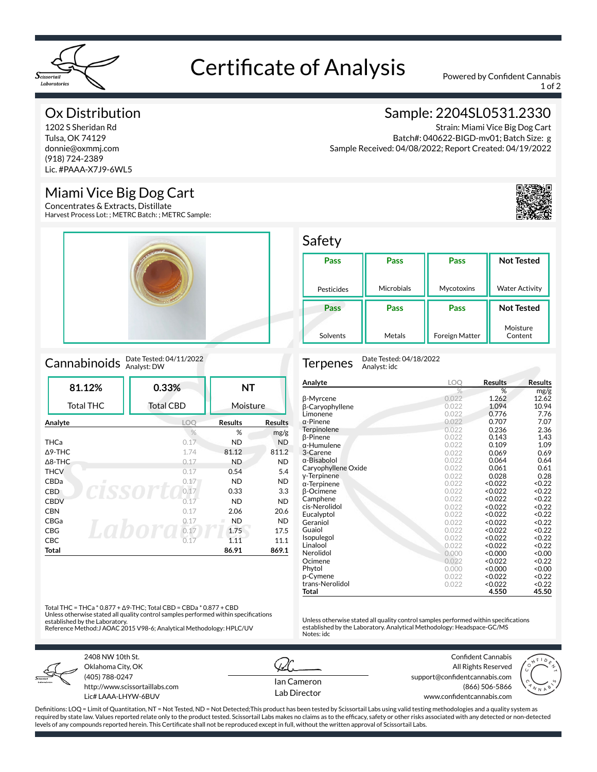

# Certificate of Analysis Powered by Confident Cannabis

1 of 2

### Ox Distribution

1202 S Sheridan Rd Tulsa, OK 74129 donnie@oxmmj.com (918) 724-2389 Lic. #PAAA-X7J9-6WL5

### Miami Vice Big Dog Cart

Concentrates & Extracts, Distillate Harvest Process Lot: ; METRC Batch: ; METRC Sample:



### Cannabinoids Date Tested: 04/11/2022

| 81.12%            | 0.33%            | <b>NT</b>      |                |
|-------------------|------------------|----------------|----------------|
| <b>Total THC</b>  | <b>Total CBD</b> | Moisture       |                |
| Analyte           | <b>LOO</b>       | <b>Results</b> | <b>Results</b> |
|                   | $\frac{0}{0}$    | %              | mg/g           |
| <b>THCa</b>       | 0.17             | <b>ND</b>      | <b>ND</b>      |
| $\triangle$ 9-THC | 1.74             | 81.12          | 811.2          |
| $\triangle$ 8-THC | 0.17             | <b>ND</b>      | <b>ND</b>      |
| <b>THCV</b>       | 0.17             | 0.54           | 5.4            |
| CBDa<br>л         | 0.17             | ND.            | <b>ND</b>      |
| <b>CBD</b>        | 0.17             | 0.33           | 3.3            |
| <b>CBDV</b>       | 0.17             | <b>ND</b>      | <b>ND</b>      |
| <b>CBN</b>        | 0.17             | 2.06           | 20.6           |
| CBGa              | 0.17             | <b>ND</b>      | <b>ND</b>      |
| <b>CBG</b>        | 0.17             | 1.75           | 17.5           |
| <b>CBC</b>        | 0.17             | 1.11           | 11.1           |
| Total             |                  | 86.91          | 869.1          |

### Sample: 2204SL0531.2330

Strain: Miami Vice Big Dog Cart Batch#: 040622-BIGD-mv01; Batch Size: g Sample Received: 04/08/2022; Report Created: 04/19/2022



#### Safety

| Pass       | Pass              | Pass                  | <b>Not Tested</b>     |
|------------|-------------------|-----------------------|-----------------------|
|            |                   |                       |                       |
| Pesticides | <b>Microbials</b> | Mycotoxins            | <b>Water Activity</b> |
| Pass       | Pass              | Pass                  | <b>Not Tested</b>     |
| Solvents   | Metals            | <b>Foreign Matter</b> | Moisture<br>Content   |

Terpenes Date Tested: 04/18/2022 Analyst: idc

| Analyte             | <b>LOO</b> | Results       | <b>Results</b>    |
|---------------------|------------|---------------|-------------------|
|                     | %          | %             | mg/g              |
| β-Myrcene           | 0.022      | 1.262         | 12.62             |
| β-Caryophyllene     | 0.022      | 1.094         | 10.94             |
| Limonene            | 0.022      | 0.776         | 7.76              |
| $\alpha$ -Pinene    | 0.022      | 0.707         | 7.07              |
| Terpinolene         | 0.022      | 0.236         | 2.36              |
| β-Pinene            | 0.022      | 0.143         | 1.43              |
| α-Humulene          | 0.022      | 0.109         | 1.09              |
| 3-Carene            | 0.022      | 0.069         | 0.69              |
| $\alpha$ -Bisabolol | 0.022      | 0.064         | 0.64              |
| Caryophyllene Oxide | 0.022      | 0.061         | 0.61              |
| y-Terpinene         | 0.022      | 0.028         | 0.28              |
| $\alpha$ -Terpinene | 0.022      | < 0.022       | < 0.22            |
| β-Ocimene           | 0.022      | < 0.022       | < 0.22            |
| Camphene            | 0.022      | < 0.022       | < 0.22            |
| cis-Nerolidol       | 0.022      | < 0.022       | < 0.22            |
| Eucalyptol          | 0.022      | < 0.022       | < 0.22            |
| Geraniol            | 0.022      | < 0.022       | < 0.22            |
| Guaiol              | 0.022      | < 0.022       | < 0.22            |
| Isopulegol          | 0.022      | < 0.022       | < 0.22            |
| Linalool            | 0.022      | < 0.022       | < 0.22            |
| Nerolidol           | 0.000      | $0.000\times$ | 0.00 <sub>2</sub> |
| Ocimene             | 0.022      | < 0.022       | < 0.22            |
| Phytol              | 0.000      | $0.000\times$ | 0.00 <sub>2</sub> |
| p-Cymene            | 0.022      | < 0.022       | < 0.22            |
| trans-Nerolidol     | 0.022      | < 0.022       | < 0.22            |
| Total               |            | 4.550         | 45.50             |

Unless otherwise stated all quality control samples performed within specifications established by the Laboratory. Analytical Methodology: Headspace-GC/MS

Total THC = THCa \* 0.877 + Δ9-THC; Total CBD = CBDa \* 0.877 + CBD Unless otherwise stated all quality control samples performed within specifications established by the Laboratory. Reference Method:J AOAC 2015 V98-6; Analytical Methodology: HPLC/UV



2408 NW 10th St. Oklahoma City, OK (405) 788-0247 http://www.scissortaillabs.com Lic# LAAA-LHYW-6BUV

Ian Cameron Lab Director

Notes: idc

Confident Cannabis All Rights Reserved support@confidentcannabis.com (866) 506-5866 www.confidentcannabis.com



Definitions: LOQ = Limit of Quantitation, NT = Not Tested, ND = Not Detected;This product has been tested by Scissortail Labs using valid testing methodologies and a quality system as required by state law. Values reported relate only to the product tested. Scissortail Labs makes no claims as to the efficacy, safety or other risks associated with any detected or non-detected levels of any compounds reported herein. This Certificate shall not be reproduced except in full, without the written approval of Scissortail Labs.